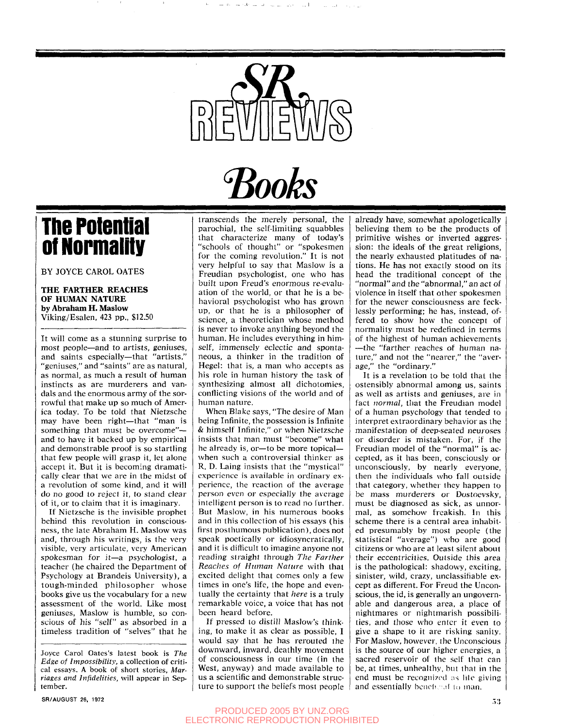

Books

# **The Potential of Normality**

BY JOYCE CAROL GATES

### **THE FARTHER REACHES OF HUMAN NATURE by Abraham H. Maslow**  Viking/Esalen, 423 pp., \$12.50

It will come as a stunning surprise to most people—and to artists, geniuses, and saints especially—that "artists," "geniuses," and "saints" are as natural, as normal, as much a result of human instincts as are murderers and vandals and the enormous army of the sorrowful that make up so much of America today. To be told that Nietzsche may have been right—that "man is something that must be overcome" and to have it backed up by empirical and demonstrable proof is so startling that few people will grasp it, let alone accept it. But it is becoming dramatically clear that we are in the midst of a revolution of some kind, and it will do no good to reject it, to stand clear of it, or to claim that it is imaginary.

If Nietzsche is the invisible prophet behind this revolution in consciousness, the late Abraham H. Maslow was and, through his writings, is the very visible, very articulate, very American spokesman for it—a psychologist, a teacher (he chaired the Department of Psychology at Brandeis University), a tough-minded philosopher whose books give us the vocabulary for a new assessment of the world. Like most geniuses, Maslow is humble, so conscious of his "self" as absorbed in a timeless tradition of "selves" that he

Joyce Carol Oates's latest book is *The Edge of Impossibility,* a collection of critical essays. A book of short stories, *Marriages and Infidelities,* will appear in September.

transcends the merely personal, the parochial, the self-limiting squabbles that characterize many of today's "schools of thought" or "spokesmen for the coming revolution." It is not very helpful to say that Maslow is a Freudian psychologist, one who has built upon Freud's enormous re-evaluation of the world, or that he is a behavioral psychologist who has grown up, or that he is a philosopher of science, a theoretician whose method is never to invoke anything beyond the human. He includes everything in himself, immensely eclectic and spontaneous, a thinker in the tradition of Hegel: that is, a man who accepts as his role in human history the task of synthesizing almost all dichotomies, conflicting visions of the world and of human nature.

When Blake says, "The desire of Man being Infinite, the possession is Infinite & himself Infinite," or when Nietzsche insists that man must "become" what he already is, or—to be more topical when such a controversial thinker as R. D. Laing insists that the "mystical" experience is available in ordinary experience, the reaction of the average person even or especially the average intelligent person is to read no further. But Maslow, in his numerous books and in this collection of his essays (his first posthumous publication), does not speak poetically or idiosyncratically, and it is difficult to imagine anyone not reading straight through *The Farther Reaches of Human Nature* with that excited delight that comes only a few times in one's life, the hope and eventually the certainty that *here* is a truly remarkable voice, a voice that has not been heard before.

If pressed to distill Maslow's thinking, to make it as clear as possible, I would say that he has rerouted the downward, inward, deathly movement of consciousness in our time (in the West, anyway) and made available to us a scientific and demonstrable structure to support the beliefs most people

already have, somewhat apologetically believing them to be the products of primitive wishes or inverted aggression: the ideals of the great religions, the nearly exhausted platitudes of nations. He has not exactly stood on its head the traditional concept of the "normal" and the "abnormal," an act of violence in itself that other spokesmen for the newer consciousness are fecklessly performing; he has, instead, offered to show how the concept of normality must be redefined in terms of the highest of human achievements —the "farther reaches of human nature," and not the "nearer," the "average," the "ordinary."

It is a revelation to be told that the ostensibly abnormal among us, saints as well as artists and geniuses, are in fact *normal,* that the Freudian model of a human psychology that tended to interpret extraordinary behavior as the manifestation of deep-seated neuroses or disorder is mistaken. For, if the Freudian model of the "normal" is accepted, as it has been, consciously or unconsciously, by nearly everyone, then the individuals who fall outside that category, whether they happen to be mass murderers or Dostoevsky, must be diagnosed as sick, as unnormal, as somehow freakish. In this scheme there is a central area inhabited presumably by most people (the statistical "average") who are good citizens or who are at least silent about their eccentricities. Outside this area is the pathological: shadowy, exciting, sinister, wild, crazy, unclassifiable except as different. For Freud the Unconscious, the id, is generally an ungovernable and dangerous area, a place of nightmares or nightmarish possibilities, and those who enter it even to give a shape to it are risking sanity. For Maslow, however, the Unconscious is the source of our higher energies, a sacred reservoir of the self that can be, at times, unhealthy, but that in the end must be recognized as life giving and essentially bencheal to man.

# PRODUCED 2005 BY UNZ.ORG ELECTRONIC REPRODUCTION PROHIBITED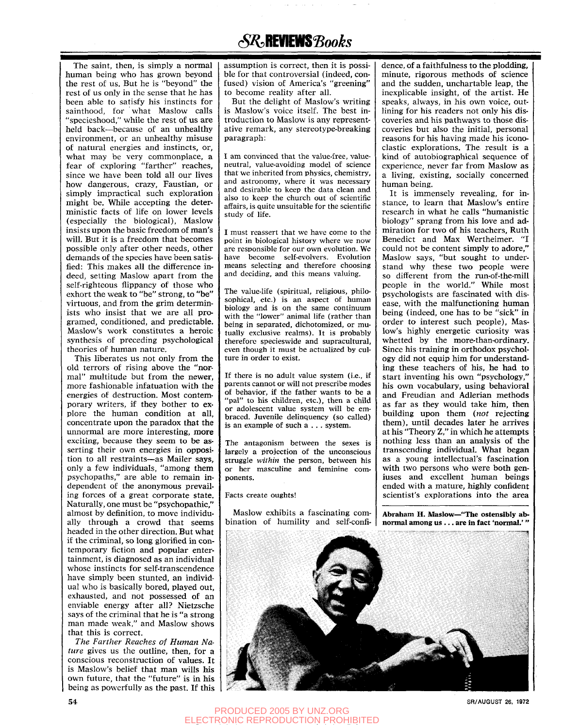# *(SR***,REVIEWS** *Books*

The saint, then, is simply a normal human being who has grown beyond the rest of us. But he is "beyond" the rest of us only in the sense that he has been able to satisfy his instincts for sainthood, for what Maslow calls "specieshood," while the rest of us are held back—because of an unhealthy environment, or an unhealthy misuse of natural energies and instincts, or, what may be very commonplace, a fear of exploring "farther" reaches, since we have been told all our lives how dangerous, crazy, Faustian, or simply impractical such exploration might be. While accepting the deterministic facts of life on lower levels (especially the biological), Maslow insists upon the basic freedom of man's will. But it is a freedom that becomes possible only after other needs, other demands of the species have been satisfied: This makes all the difference indeed, setting Maslow apart from the self-righteous flippancy of those who exhort the weak to "be" strong, to "be" virtuous, and from the grim determinists who insist that we are all programed, conditioned, and predictable. Maslow's work constitutes a heroic synthesis of preceding psychological theories of human nature.

This liberates us not only from the old terrors of rising above the "normal" multitude but from the newer, more fashionable infatuation with the energies of destruction. Most contemporary writers, if they bother to explore the human condition at all, concentrate upon the paradox that the unnormal are more interesting, more exciting, because they seem to be asserting their own energies in opposition to all restraints—as Mailer says, only a few individuals, "among them psychopaths," are able to remain independent of the anonymous prevailing forces of a great corporate state. Naturally, one must be "psychopathic," almost by definition, to move individually through a crowd that seems headed in the other direction. But what if the criminal, so long glorified in contemporary fiction and popular entertainment, is diagnosed as an individual whose instincts for self-transcendence have simply been stunted, an individual who is basically bored, played out, exhausted, and not possessed of an enviable energy after all? Nietzsche says of the criminal that he is "a strong man made weak," and Maslow shows that this is correct.

*The Farther Reaches of Human Nature* gives us the outline, then, for a conscious reconstruction of values. It is Maslow's belief that man wills his own future, that the "future" is in his being as powerfully as the past. If this assumption is correct, then it is possible for that controversial (indeed, confused) vision of America's "greening" to become reality after all.

But the delight of Maslow's writing is Maslow's voice itself. The best introduction to Maslow is any representative remark, any stereotype-breaking paragraph:

I am convinced that the value-free, valueneutral, value-avoiding model of science that we inherited from physics, chemistry, and astronomy, where it was necessary and desirable to keep the data clean and also to keep the church out of scientific affairs, is quite unsuitable for the scientific study of life.

I must reassert that we have come to the point in biological history where we now are responsible for our own evolution. We have become self-evolvers. Evolution means selecting and therefore choosing and deciding, and this means valuing.

The value-life (spiritual, religious, philosophical, etc.) is an aspect of human biology and is on the same continuum with the "lower" animal life (rather than being in separated, dichotomized, or mutually exclusive realms). It is probably therefore specieswide and supracultural, even though it must be actualized by culture in order to exist.

If there is no adult value system (i.e., if parents cannot or will not prescribe modes of behavior, if the father wants to be a "pal" to his children, etc.), then a child or adolescent value system will be embraced. Juvenile delinquency (so called) is an example of such a . . . system.

The antagonism between the sexes is largely a projection of the unconscious struggle *within* the person, between his or her masculine and feminine components.

#### Facts create oughts!

Maslow exhibits a fascinating combination of humility and self-confi-

dence, of a faithfulness to the plodding, minute, rigorous methods of science and the sudden, unchartable leap, the inexplicable insight, of the artist. He speaks, always, in his own voice, outlining for his readers not only his discoveries and his pathways to those discoveries but also the initial, personal reasons for his having made his iconoclastic explorations. The result is a kind of autobiographical sequence of experience, never far from Maslow as a living, existing, socially concerned human being.

It is immensely revealing, for instance, to learn that Maslow's entire research in what he calls "humanistic biology" sprang from his love and admiration for two of his teachers, Ruth Benedict and Max Wertheimer. "I could not be content simply to adore," Maslow says, "but sought to understand why these two people were so different from the run-of-the-mill people in the world." While most psychologists are fascinated with disease, with the malfunctioning human being (indeed, one has to be "sick" in order to interest such people), Maslow's highly energetic curiosity was whetted by the more-than-ordinary. Since his training in orthodox psychology did not equip him for understanding these teachers of his, he had to start inventing his own "psychology," his own vocabulary, using behavioral and Freudian and Adlerian methods as far as they would take him, then building upon them *(not* rejecting them), until decades later he arrives at his "Theory Z," in which he attempts nothing less than an analysis of the transcending individual. What began as a young intellectual's fascination with two persons who were both geniuses and excellent human beings ended with a mature, highly confident scientist's explorations into the area

Abraham H. Maslow—"The ostensibly abnormal among us .. . are in fact 'normal.' "